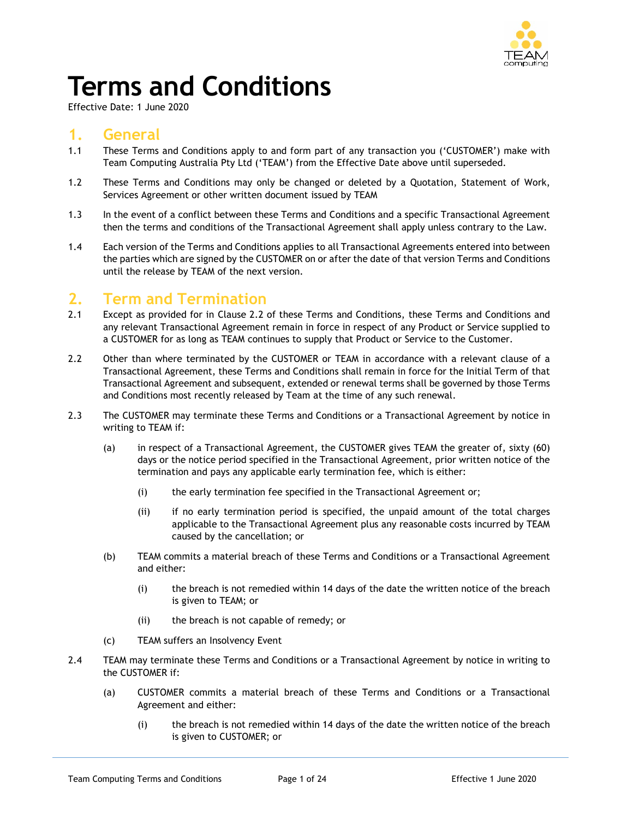

# **Terms and Conditions**

Effective Date: 1 June 2020

# **1. General**

- 1.1 These Terms and Conditions apply to and form part of any transaction you ('CUSTOMER') make with Team Computing Australia Pty Ltd ('TEAM') from the Effective Date above until superseded.
- 1.2 These Terms and Conditions may only be changed or deleted by a Quotation, Statement of Work, Services Agreement or other written document issued by TEAM
- 1.3 In the event of a conflict between these Terms and Conditions and a specific Transactional Agreement then the terms and conditions of the Transactional Agreement shall apply unless contrary to the Law.
- 1.4 Each version of the Terms and Conditions applies to all Transactional Agreements entered into between the parties which are signed by the CUSTOMER on or after the date of that version Terms and Conditions until the release by TEAM of the next version.

# **2. Term and Termination**

- 2.1 Except as provided for in Clause 2.2 of these Terms and Conditions, these Terms and Conditions and any relevant Transactional Agreement remain in force in respect of any Product or Service supplied to a CUSTOMER for as long as TEAM continues to supply that Product or Service to the Customer.
- 2.2 Other than where terminated by the CUSTOMER or TEAM in accordance with a relevant clause of a Transactional Agreement, these Terms and Conditions shall remain in force for the Initial Term of that Transactional Agreement and subsequent, extended or renewal terms shall be governed by those Terms and Conditions most recently released by Team at the time of any such renewal.
- 2.3 The CUSTOMER may terminate these Terms and Conditions or a Transactional Agreement by notice in writing to TEAM if:
	- (a) in respect of a Transactional Agreement, the CUSTOMER gives TEAM the greater of, sixty (60) days or the notice period specified in the Transactional Agreement, prior written notice of the termination and pays any applicable early termination fee, which is either:
		- (i) the early termination fee specified in the Transactional Agreement or;
		- (ii) if no early termination period is specified, the unpaid amount of the total charges applicable to the Transactional Agreement plus any reasonable costs incurred by TEAM caused by the cancellation; or
	- (b) TEAM commits a material breach of these Terms and Conditions or a Transactional Agreement and either:
		- (i) the breach is not remedied within 14 days of the date the written notice of the breach is given to TEAM; or
		- (ii) the breach is not capable of remedy; or
	- (c) TEAM suffers an Insolvency Event
- 2.4 TEAM may terminate these Terms and Conditions or a Transactional Agreement by notice in writing to the CUSTOMER if:
	- (a) CUSTOMER commits a material breach of these Terms and Conditions or a Transactional Agreement and either:
		- (i) the breach is not remedied within 14 days of the date the written notice of the breach is given to CUSTOMER; or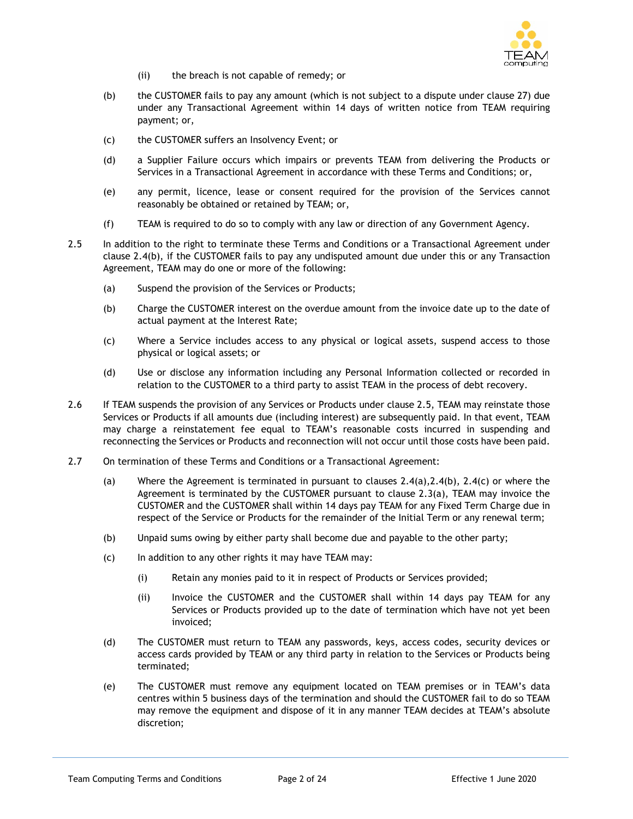

- (ii) the breach is not capable of remedy; or
- (b) the CUSTOMER fails to pay any amount (which is not subject to a dispute under clause 27) due under any Transactional Agreement within 14 days of written notice from TEAM requiring payment; or,
- (c) the CUSTOMER suffers an Insolvency Event; or
- (d) a Supplier Failure occurs which impairs or prevents TEAM from delivering the Products or Services in a Transactional Agreement in accordance with these Terms and Conditions; or,
- (e) any permit, licence, lease or consent required for the provision of the Services cannot reasonably be obtained or retained by TEAM; or,
- (f) TEAM is required to do so to comply with any law or direction of any Government Agency.
- 2.5 In addition to the right to terminate these Terms and Conditions or a Transactional Agreement under clause 2.4(b), if the CUSTOMER fails to pay any undisputed amount due under this or any Transaction Agreement, TEAM may do one or more of the following:
	- (a) Suspend the provision of the Services or Products;
	- (b) Charge the CUSTOMER interest on the overdue amount from the invoice date up to the date of actual payment at the Interest Rate;
	- (c) Where a Service includes access to any physical or logical assets, suspend access to those physical or logical assets; or
	- (d) Use or disclose any information including any Personal Information collected or recorded in relation to the CUSTOMER to a third party to assist TEAM in the process of debt recovery.
- 2.6 If TEAM suspends the provision of any Services or Products under clause 2.5, TEAM may reinstate those Services or Products if all amounts due (including interest) are subsequently paid. In that event, TEAM may charge a reinstatement fee equal to TEAM's reasonable costs incurred in suspending and reconnecting the Services or Products and reconnection will not occur until those costs have been paid.
- 2.7 On termination of these Terms and Conditions or a Transactional Agreement:
	- (a) Where the Agreement is terminated in pursuant to clauses  $2.4(a)$ ,  $2.4(b)$ ,  $2.4(c)$  or where the Agreement is terminated by the CUSTOMER pursuant to clause 2.3(a), TEAM may invoice the CUSTOMER and the CUSTOMER shall within 14 days pay TEAM for any Fixed Term Charge due in respect of the Service or Products for the remainder of the Initial Term or any renewal term;
	- (b) Unpaid sums owing by either party shall become due and payable to the other party;
	- (c) In addition to any other rights it may have TEAM may:
		- (i) Retain any monies paid to it in respect of Products or Services provided;
		- (ii) Invoice the CUSTOMER and the CUSTOMER shall within 14 days pay TEAM for any Services or Products provided up to the date of termination which have not yet been invoiced;
	- (d) The CUSTOMER must return to TEAM any passwords, keys, access codes, security devices or access cards provided by TEAM or any third party in relation to the Services or Products being terminated;
	- (e) The CUSTOMER must remove any equipment located on TEAM premises or in TEAM's data centres within 5 business days of the termination and should the CUSTOMER fail to do so TEAM may remove the equipment and dispose of it in any manner TEAM decides at TEAM's absolute discretion;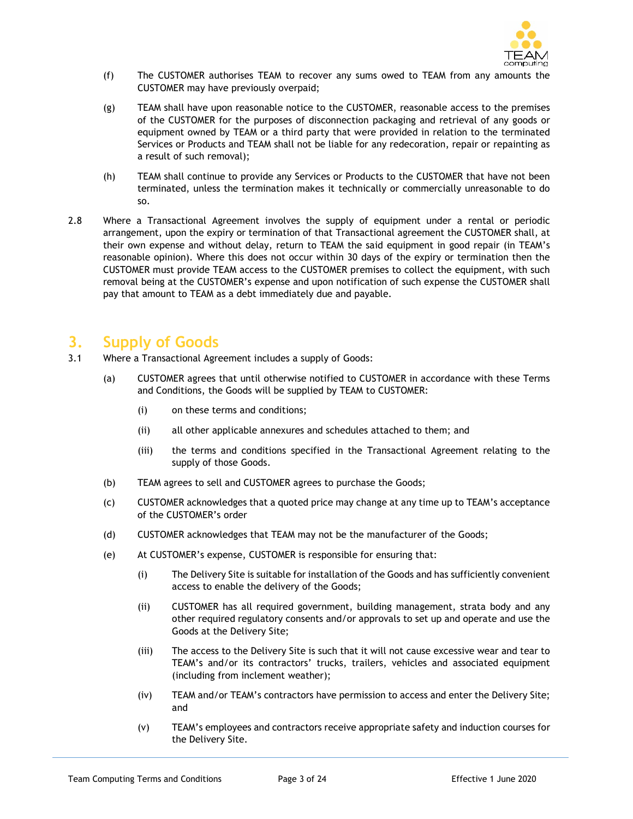

- (f) The CUSTOMER authorises TEAM to recover any sums owed to TEAM from any amounts the CUSTOMER may have previously overpaid;
- (g) TEAM shall have upon reasonable notice to the CUSTOMER, reasonable access to the premises of the CUSTOMER for the purposes of disconnection packaging and retrieval of any goods or equipment owned by TEAM or a third party that were provided in relation to the terminated Services or Products and TEAM shall not be liable for any redecoration, repair or repainting as a result of such removal);
- (h) TEAM shall continue to provide any Services or Products to the CUSTOMER that have not been terminated, unless the termination makes it technically or commercially unreasonable to do so.
- 2.8 Where a Transactional Agreement involves the supply of equipment under a rental or periodic arrangement, upon the expiry or termination of that Transactional agreement the CUSTOMER shall, at their own expense and without delay, return to TEAM the said equipment in good repair (in TEAM's reasonable opinion). Where this does not occur within 30 days of the expiry or termination then the CUSTOMER must provide TEAM access to the CUSTOMER premises to collect the equipment, with such removal being at the CUSTOMER's expense and upon notification of such expense the CUSTOMER shall pay that amount to TEAM as a debt immediately due and payable.

# **3. Supply of Goods**

- 3.1 Where a Transactional Agreement includes a supply of Goods:
	- (a) CUSTOMER agrees that until otherwise notified to CUSTOMER in accordance with these Terms and Conditions, the Goods will be supplied by TEAM to CUSTOMER:
		- (i) on these terms and conditions;
		- (ii) all other applicable annexures and schedules attached to them; and
		- (iii) the terms and conditions specified in the Transactional Agreement relating to the supply of those Goods.
	- (b) TEAM agrees to sell and CUSTOMER agrees to purchase the Goods;
	- (c) CUSTOMER acknowledges that a quoted price may change at any time up to TEAM's acceptance of the CUSTOMER's order
	- (d) CUSTOMER acknowledges that TEAM may not be the manufacturer of the Goods;
	- (e) At CUSTOMER's expense, CUSTOMER is responsible for ensuring that:
		- (i) The Delivery Site is suitable for installation of the Goods and has sufficiently convenient access to enable the delivery of the Goods;
		- (ii) CUSTOMER has all required government, building management, strata body and any other required regulatory consents and/or approvals to set up and operate and use the Goods at the Delivery Site;
		- (iii) The access to the Delivery Site is such that it will not cause excessive wear and tear to TEAM's and/or its contractors' trucks, trailers, vehicles and associated equipment (including from inclement weather);
		- (iv) TEAM and/or TEAM's contractors have permission to access and enter the Delivery Site; and
		- (v) TEAM's employees and contractors receive appropriate safety and induction courses for the Delivery Site.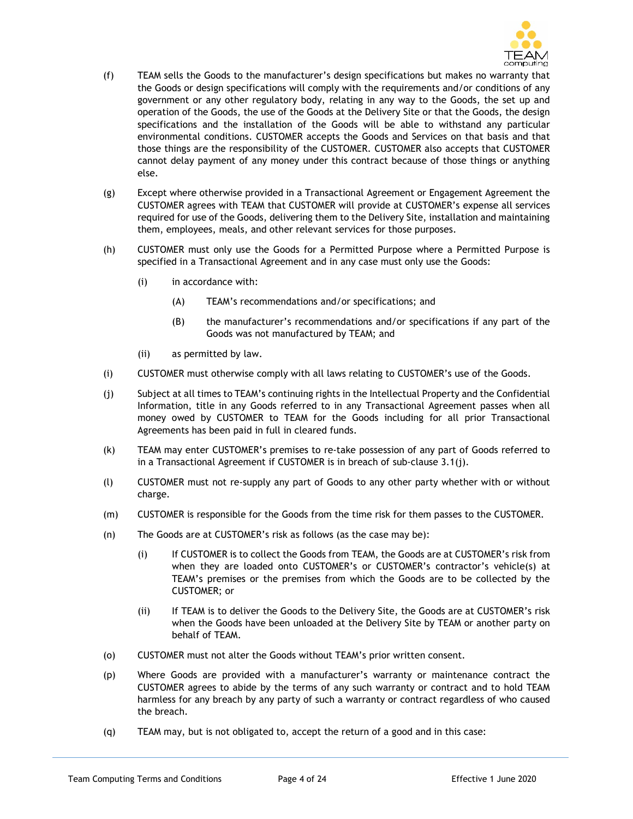

- (f) TEAM sells the Goods to the manufacturer's design specifications but makes no warranty that the Goods or design specifications will comply with the requirements and/or conditions of any government or any other regulatory body, relating in any way to the Goods, the set up and operation of the Goods, the use of the Goods at the Delivery Site or that the Goods, the design specifications and the installation of the Goods will be able to withstand any particular environmental conditions. CUSTOMER accepts the Goods and Services on that basis and that those things are the responsibility of the CUSTOMER. CUSTOMER also accepts that CUSTOMER cannot delay payment of any money under this contract because of those things or anything else.
- (g) Except where otherwise provided in a Transactional Agreement or Engagement Agreement the CUSTOMER agrees with TEAM that CUSTOMER will provide at CUSTOMER's expense all services required for use of the Goods, delivering them to the Delivery Site, installation and maintaining them, employees, meals, and other relevant services for those purposes.
- (h) CUSTOMER must only use the Goods for a Permitted Purpose where a Permitted Purpose is specified in a Transactional Agreement and in any case must only use the Goods:
	- (i) in accordance with:
		- (A) TEAM's recommendations and/or specifications; and
		- (B) the manufacturer's recommendations and/or specifications if any part of the Goods was not manufactured by TEAM; and
	- (ii) as permitted by law.
- (i) CUSTOMER must otherwise comply with all laws relating to CUSTOMER's use of the Goods.
- (j) Subject at all times to TEAM's continuing rights in the Intellectual Property and the Confidential Information, title in any Goods referred to in any Transactional Agreement passes when all money owed by CUSTOMER to TEAM for the Goods including for all prior Transactional Agreements has been paid in full in cleared funds.
- (k) TEAM may enter CUSTOMER's premises to re-take possession of any part of Goods referred to in a Transactional Agreement if CUSTOMER is in breach of sub-clause 3.1(j).
- (l) CUSTOMER must not re-supply any part of Goods to any other party whether with or without charge.
- (m) CUSTOMER is responsible for the Goods from the time risk for them passes to the CUSTOMER.
- (n) The Goods are at CUSTOMER's risk as follows (as the case may be):
	- (i) If CUSTOMER is to collect the Goods from TEAM, the Goods are at CUSTOMER's risk from when they are loaded onto CUSTOMER's or CUSTOMER's contractor's vehicle(s) at TEAM's premises or the premises from which the Goods are to be collected by the CUSTOMER; or
	- (ii) If TEAM is to deliver the Goods to the Delivery Site, the Goods are at CUSTOMER's risk when the Goods have been unloaded at the Delivery Site by TEAM or another party on behalf of TEAM.
- (o) CUSTOMER must not alter the Goods without TEAM's prior written consent.
- (p) Where Goods are provided with a manufacturer's warranty or maintenance contract the CUSTOMER agrees to abide by the terms of any such warranty or contract and to hold TEAM harmless for any breach by any party of such a warranty or contract regardless of who caused the breach.
- (q) TEAM may, but is not obligated to, accept the return of a good and in this case: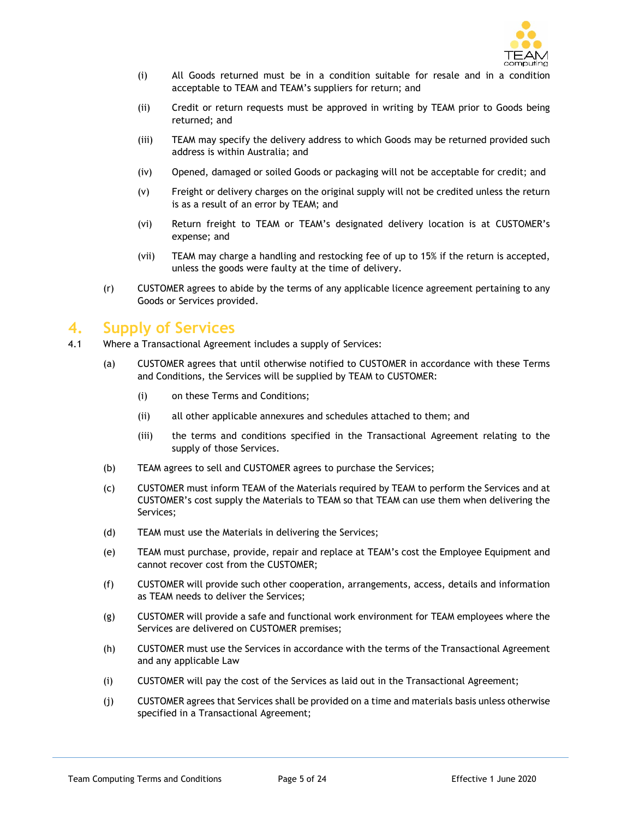

- (i) All Goods returned must be in a condition suitable for resale and in a condition acceptable to TEAM and TEAM's suppliers for return; and
- (ii) Credit or return requests must be approved in writing by TEAM prior to Goods being returned; and
- (iii) TEAM may specify the delivery address to which Goods may be returned provided such address is within Australia; and
- (iv) Opened, damaged or soiled Goods or packaging will not be acceptable for credit; and
- (v) Freight or delivery charges on the original supply will not be credited unless the return is as a result of an error by TEAM; and
- (vi) Return freight to TEAM or TEAM's designated delivery location is at CUSTOMER's expense; and
- (vii) TEAM may charge a handling and restocking fee of up to 15% if the return is accepted, unless the goods were faulty at the time of delivery.
- (r) CUSTOMER agrees to abide by the terms of any applicable licence agreement pertaining to any Goods or Services provided.

# **4. Supply of Services**

- 4.1 Where a Transactional Agreement includes a supply of Services:
	- (a) CUSTOMER agrees that until otherwise notified to CUSTOMER in accordance with these Terms and Conditions, the Services will be supplied by TEAM to CUSTOMER:
		- (i) on these Terms and Conditions;
		- (ii) all other applicable annexures and schedules attached to them; and
		- (iii) the terms and conditions specified in the Transactional Agreement relating to the supply of those Services.
	- (b) TEAM agrees to sell and CUSTOMER agrees to purchase the Services;
	- (c) CUSTOMER must inform TEAM of the Materials required by TEAM to perform the Services and at CUSTOMER's cost supply the Materials to TEAM so that TEAM can use them when delivering the Services;
	- (d) TEAM must use the Materials in delivering the Services;
	- (e) TEAM must purchase, provide, repair and replace at TEAM's cost the Employee Equipment and cannot recover cost from the CUSTOMER;
	- (f) CUSTOMER will provide such other cooperation, arrangements, access, details and information as TEAM needs to deliver the Services;
	- (g) CUSTOMER will provide a safe and functional work environment for TEAM employees where the Services are delivered on CUSTOMER premises;
	- (h) CUSTOMER must use the Services in accordance with the terms of the Transactional Agreement and any applicable Law
	- (i) CUSTOMER will pay the cost of the Services as laid out in the Transactional Agreement;
	- (j) CUSTOMER agrees that Services shall be provided on a time and materials basis unless otherwise specified in a Transactional Agreement;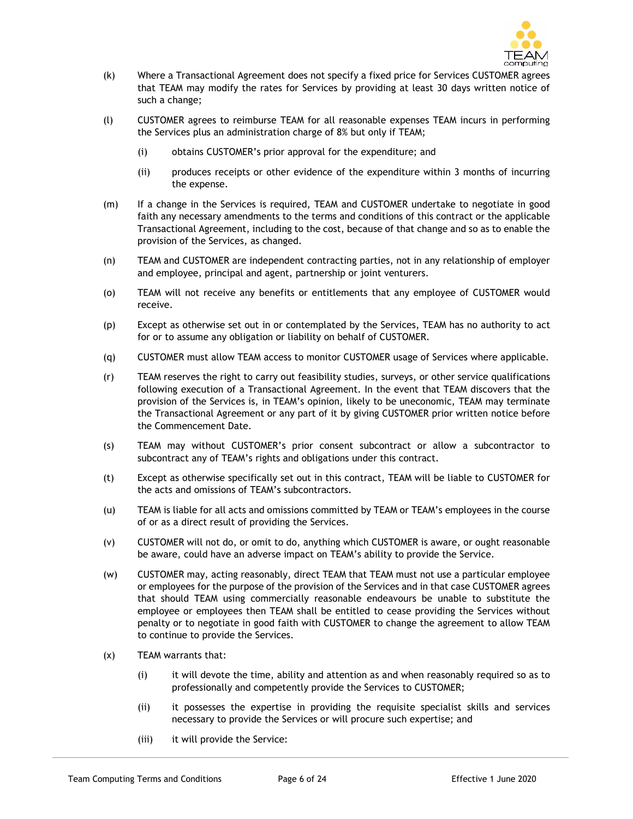

- (k) Where a Transactional Agreement does not specify a fixed price for Services CUSTOMER agrees that TEAM may modify the rates for Services by providing at least 30 days written notice of such a change;
- (l) CUSTOMER agrees to reimburse TEAM for all reasonable expenses TEAM incurs in performing the Services plus an administration charge of 8% but only if TEAM;
	- (i) obtains CUSTOMER's prior approval for the expenditure; and
	- (ii) produces receipts or other evidence of the expenditure within 3 months of incurring the expense.
- (m) If a change in the Services is required, TEAM and CUSTOMER undertake to negotiate in good faith any necessary amendments to the terms and conditions of this contract or the applicable Transactional Agreement, including to the cost, because of that change and so as to enable the provision of the Services, as changed.
- (n) TEAM and CUSTOMER are independent contracting parties, not in any relationship of employer and employee, principal and agent, partnership or joint venturers.
- (o) TEAM will not receive any benefits or entitlements that any employee of CUSTOMER would receive.
- (p) Except as otherwise set out in or contemplated by the Services, TEAM has no authority to act for or to assume any obligation or liability on behalf of CUSTOMER.
- (q) CUSTOMER must allow TEAM access to monitor CUSTOMER usage of Services where applicable.
- (r) TEAM reserves the right to carry out feasibility studies, surveys, or other service qualifications following execution of a Transactional Agreement. In the event that TEAM discovers that the provision of the Services is, in TEAM's opinion, likely to be uneconomic, TEAM may terminate the Transactional Agreement or any part of it by giving CUSTOMER prior written notice before the Commencement Date.
- (s) TEAM may without CUSTOMER's prior consent subcontract or allow a subcontractor to subcontract any of TEAM's rights and obligations under this contract.
- (t) Except as otherwise specifically set out in this contract, TEAM will be liable to CUSTOMER for the acts and omissions of TEAM's subcontractors.
- (u) TEAM is liable for all acts and omissions committed by TEAM or TEAM's employees in the course of or as a direct result of providing the Services.
- (v) CUSTOMER will not do, or omit to do, anything which CUSTOMER is aware, or ought reasonable be aware, could have an adverse impact on TEAM's ability to provide the Service.
- (w) CUSTOMER may, acting reasonably, direct TEAM that TEAM must not use a particular employee or employees for the purpose of the provision of the Services and in that case CUSTOMER agrees that should TEAM using commercially reasonable endeavours be unable to substitute the employee or employees then TEAM shall be entitled to cease providing the Services without penalty or to negotiate in good faith with CUSTOMER to change the agreement to allow TEAM to continue to provide the Services.
- (x) TEAM warrants that:
	- (i) it will devote the time, ability and attention as and when reasonably required so as to professionally and competently provide the Services to CUSTOMER;
	- (ii) it possesses the expertise in providing the requisite specialist skills and services necessary to provide the Services or will procure such expertise; and
	- (iii) it will provide the Service: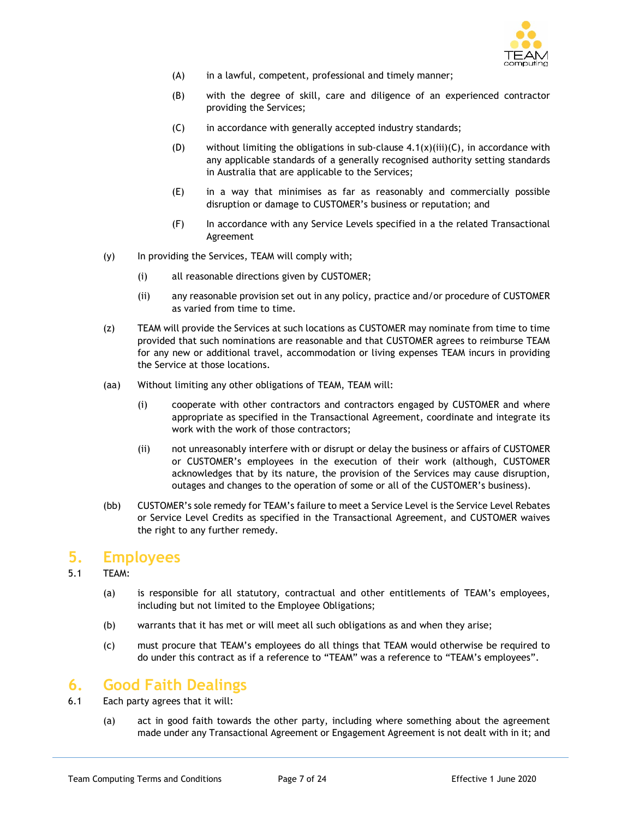

- (A) in a lawful, competent, professional and timely manner;
- (B) with the degree of skill, care and diligence of an experienced contractor providing the Services;
- (C) in accordance with generally accepted industry standards;
- (D) without limiting the obligations in sub-clause  $4.1(x)(iii)(C)$ , in accordance with any applicable standards of a generally recognised authority setting standards in Australia that are applicable to the Services;
- (E) in a way that minimises as far as reasonably and commercially possible disruption or damage to CUSTOMER's business or reputation; and
- (F) In accordance with any Service Levels specified in a the related Transactional Agreement
- (y) In providing the Services, TEAM will comply with;
	- (i) all reasonable directions given by CUSTOMER;
	- (ii) any reasonable provision set out in any policy, practice and/or procedure of CUSTOMER as varied from time to time.
- (z) TEAM will provide the Services at such locations as CUSTOMER may nominate from time to time provided that such nominations are reasonable and that CUSTOMER agrees to reimburse TEAM for any new or additional travel, accommodation or living expenses TEAM incurs in providing the Service at those locations.
- (aa) Without limiting any other obligations of TEAM, TEAM will:
	- (i) cooperate with other contractors and contractors engaged by CUSTOMER and where appropriate as specified in the Transactional Agreement, coordinate and integrate its work with the work of those contractors;
	- (ii) not unreasonably interfere with or disrupt or delay the business or affairs of CUSTOMER or CUSTOMER's employees in the execution of their work (although, CUSTOMER acknowledges that by its nature, the provision of the Services may cause disruption, outages and changes to the operation of some or all of the CUSTOMER's business).
- (bb) CUSTOMER's sole remedy for TEAM's failure to meet a Service Level is the Service Level Rebates or Service Level Credits as specified in the Transactional Agreement, and CUSTOMER waives the right to any further remedy.

#### **5. Employees**

- 5.1 TEAM:
	- (a) is responsible for all statutory, contractual and other entitlements of TEAM's employees, including but not limited to the Employee Obligations;
	- (b) warrants that it has met or will meet all such obligations as and when they arise;
	- (c) must procure that TEAM's employees do all things that TEAM would otherwise be required to do under this contract as if a reference to "TEAM" was a reference to "TEAM's employees".

# **6. Good Faith Dealings**

- 6.1 Each party agrees that it will:
	- (a) act in good faith towards the other party, including where something about the agreement made under any Transactional Agreement or Engagement Agreement is not dealt with in it; and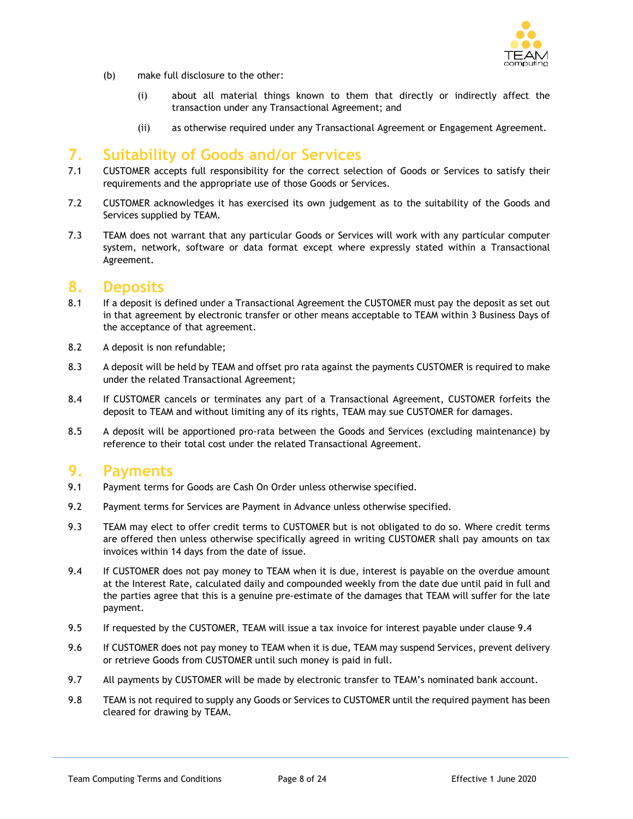

- (b) make full disclosure to the other:
	- (i) about all material things known to them that directly or indirectly affect the transaction under any Transactional Agreement; and
	- (ii) as otherwise required under any Transactional Agreement or Engagement Agreement.

# **7. Suitability of Goods and/or Services**

- 7.1 CUSTOMER accepts full responsibility for the correct selection of Goods or Services to satisfy their requirements and the appropriate use of those Goods or Services.
- 7.2 CUSTOMER acknowledges it has exercised its own judgement as to the suitability of the Goods and Services supplied by TEAM.
- 7.3 TEAM does not warrant that any particular Goods or Services will work with any particular computer system, network, software or data format except where expressly stated within a Transactional Agreement.

#### **8. Deposits**

- 8.1 If a deposit is defined under a Transactional Agreement the CUSTOMER must pay the deposit as set out in that agreement by electronic transfer or other means acceptable to TEAM within 3 Business Days of the acceptance of that agreement.
- 8.2 A deposit is non refundable;
- 8.3 A deposit will be held by TEAM and offset pro rata against the payments CUSTOMER is required to make under the related Transactional Agreement;
- 8.4 If CUSTOMER cancels or terminates any part of a Transactional Agreement, CUSTOMER forfeits the deposit to TEAM and without limiting any of its rights, TEAM may sue CUSTOMER for damages.
- 8.5 A deposit will be apportioned pro-rata between the Goods and Services (excluding maintenance) by reference to their total cost under the related Transactional Agreement.

# **9. Payments**

- 9.1 Payment terms for Goods are Cash On Order unless otherwise specified.
- 9.2 Payment terms for Services are Payment in Advance unless otherwise specified.
- 9.3 TEAM may elect to offer credit terms to CUSTOMER but is not obligated to do so. Where credit terms are offered then unless otherwise specifically agreed in writing CUSTOMER shall pay amounts on tax invoices within 14 days from the date of issue.
- 9.4 If CUSTOMER does not pay money to TEAM when it is due, interest is payable on the overdue amount at the Interest Rate, calculated daily and compounded weekly from the date due until paid in full and the parties agree that this is a genuine pre-estimate of the damages that TEAM will suffer for the late payment.
- 9.5 If requested by the CUSTOMER, TEAM will issue a tax invoice for interest payable under clause 9.4
- 9.6 If CUSTOMER does not pay money to TEAM when it is due, TEAM may suspend Services, prevent delivery or retrieve Goods from CUSTOMER until such money is paid in full.
- 9.7 All payments by CUSTOMER will be made by electronic transfer to TEAM's nominated bank account.
- 9.8 TEAM is not required to supply any Goods or Services to CUSTOMER until the required payment has been cleared for drawing by TEAM.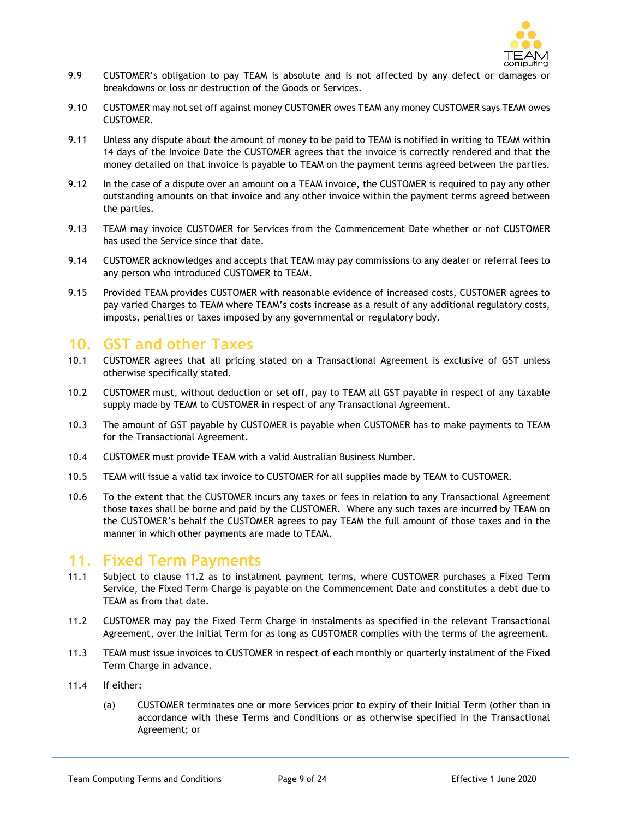

- 9.9 CUSTOMER's obligation to pay TEAM is absolute and is not affected by any defect or damages or breakdowns or loss or destruction of the Goods or Services.
- 9.10 CUSTOMER may not set off against money CUSTOMER owes TEAM any money CUSTOMER says TEAM owes CUSTOMER.
- 9.11 Unless any dispute about the amount of money to be paid to TEAM is notified in writing to TEAM within 14 days of the Invoice Date the CUSTOMER agrees that the invoice is correctly rendered and that the money detailed on that invoice is payable to TEAM on the payment terms agreed between the parties.
- 9.12 In the case of a dispute over an amount on a TEAM invoice, the CUSTOMER is required to pay any other outstanding amounts on that invoice and any other invoice within the payment terms agreed between the parties.
- 9.13 TEAM may invoice CUSTOMER for Services from the Commencement Date whether or not CUSTOMER has used the Service since that date.
- 9.14 CUSTOMER acknowledges and accepts that TEAM may pay commissions to any dealer or referral fees to any person who introduced CUSTOMER to TEAM.
- 9.15 Provided TEAM provides CUSTOMER with reasonable evidence of increased costs, CUSTOMER agrees to pay varied Charges to TEAM where TEAM's costs increase as a result of any additional regulatory costs, imposts, penalties or taxes imposed by any governmental or regulatory body.

# **10. GST and other Taxes**

- 10.1 CUSTOMER agrees that all pricing stated on a Transactional Agreement is exclusive of GST unless otherwise specifically stated.
- 10.2 CUSTOMER must, without deduction or set off, pay to TEAM all GST payable in respect of any taxable supply made by TEAM to CUSTOMER in respect of any Transactional Agreement.
- 10.3 The amount of GST payable by CUSTOMER is payable when CUSTOMER has to make payments to TEAM for the Transactional Agreement.
- 10.4 CUSTOMER must provide TEAM with a valid Australian Business Number.
- 10.5 TEAM will issue a valid tax invoice to CUSTOMER for all supplies made by TEAM to CUSTOMER.
- 10.6 To the extent that the CUSTOMER incurs any taxes or fees in relation to any Transactional Agreement those taxes shall be borne and paid by the CUSTOMER. Where any such taxes are incurred by TEAM on the CUSTOMER's behalf the CUSTOMER agrees to pay TEAM the full amount of those taxes and in the manner in which other payments are made to TEAM.

#### **11. Fixed Term Payments**

- 11.1 Subject to clause 11.2 as to instalment payment terms, where CUSTOMER purchases a Fixed Term Service, the Fixed Term Charge is payable on the Commencement Date and constitutes a debt due to TEAM as from that date.
- 11.2 CUSTOMER may pay the Fixed Term Charge in instalments as specified in the relevant Transactional Agreement, over the Initial Term for as long as CUSTOMER complies with the terms of the agreement.
- 11.3 TEAM must issue invoices to CUSTOMER in respect of each monthly or quarterly instalment of the Fixed Term Charge in advance.
- 11.4 If either:
	- (a) CUSTOMER terminates one or more Services prior to expiry of their Initial Term (other than in accordance with these Terms and Conditions or as otherwise specified in the Transactional Agreement; or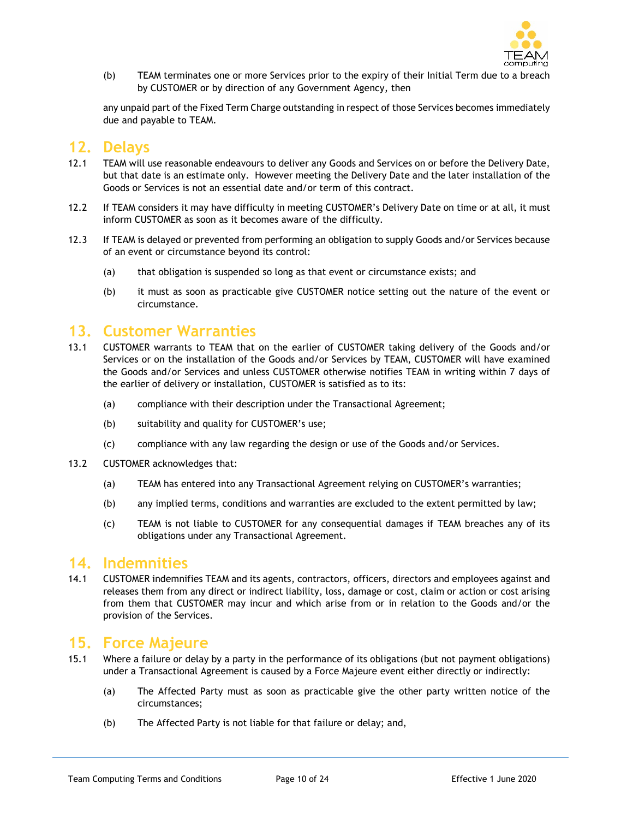

(b) TEAM terminates one or more Services prior to the expiry of their Initial Term due to a breach by CUSTOMER or by direction of any Government Agency, then

any unpaid part of the Fixed Term Charge outstanding in respect of those Services becomes immediately due and payable to TEAM.

# **12. Delays**

- 12.1 TEAM will use reasonable endeavours to deliver any Goods and Services on or before the Delivery Date, but that date is an estimate only. However meeting the Delivery Date and the later installation of the Goods or Services is not an essential date and/or term of this contract.
- 12.2 If TEAM considers it may have difficulty in meeting CUSTOMER's Delivery Date on time or at all, it must inform CUSTOMER as soon as it becomes aware of the difficulty.
- 12.3 If TEAM is delayed or prevented from performing an obligation to supply Goods and/or Services because of an event or circumstance beyond its control:
	- (a) that obligation is suspended so long as that event or circumstance exists; and
	- (b) it must as soon as practicable give CUSTOMER notice setting out the nature of the event or circumstance.

# **13. Customer Warranties**

- 13.1 CUSTOMER warrants to TEAM that on the earlier of CUSTOMER taking delivery of the Goods and/or Services or on the installation of the Goods and/or Services by TEAM, CUSTOMER will have examined the Goods and/or Services and unless CUSTOMER otherwise notifies TEAM in writing within 7 days of the earlier of delivery or installation, CUSTOMER is satisfied as to its:
	- (a) compliance with their description under the Transactional Agreement;
	- (b) suitability and quality for CUSTOMER's use;
	- (c) compliance with any law regarding the design or use of the Goods and/or Services.
- 13.2 CUSTOMER acknowledges that:
	- (a) TEAM has entered into any Transactional Agreement relying on CUSTOMER's warranties;
	- (b) any implied terms, conditions and warranties are excluded to the extent permitted by law;
	- (c) TEAM is not liable to CUSTOMER for any consequential damages if TEAM breaches any of its obligations under any Transactional Agreement.

#### **14. Indemnities**

14.1 CUSTOMER indemnifies TEAM and its agents, contractors, officers, directors and employees against and releases them from any direct or indirect liability, loss, damage or cost, claim or action or cost arising from them that CUSTOMER may incur and which arise from or in relation to the Goods and/or the provision of the Services.

# **15. Force Majeure**

- 15.1 Where a failure or delay by a party in the performance of its obligations (but not payment obligations) under a Transactional Agreement is caused by a Force Majeure event either directly or indirectly:
	- (a) The Affected Party must as soon as practicable give the other party written notice of the circumstances;
	- (b) The Affected Party is not liable for that failure or delay; and,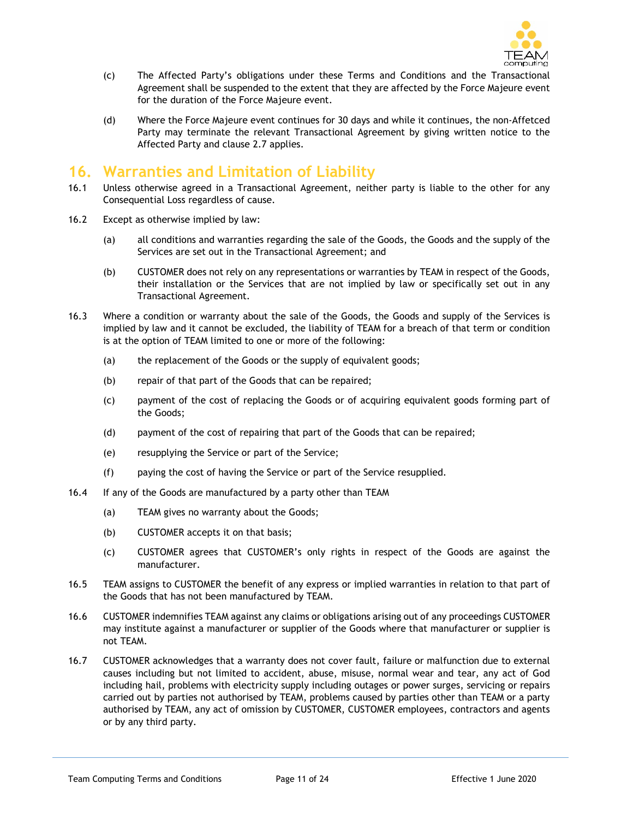

- (c) The Affected Party's obligations under these Terms and Conditions and the Transactional Agreement shall be suspended to the extent that they are affected by the Force Majeure event for the duration of the Force Majeure event.
- (d) Where the Force Majeure event continues for 30 days and while it continues, the non-Affetced Party may terminate the relevant Transactional Agreement by giving written notice to the Affected Party and clause 2.7 applies.

# **16. Warranties and Limitation of Liability**

- 16.1 Unless otherwise agreed in a Transactional Agreement, neither party is liable to the other for any Consequential Loss regardless of cause.
- 16.2 Except as otherwise implied by law:
	- (a) all conditions and warranties regarding the sale of the Goods, the Goods and the supply of the Services are set out in the Transactional Agreement; and
	- (b) CUSTOMER does not rely on any representations or warranties by TEAM in respect of the Goods, their installation or the Services that are not implied by law or specifically set out in any Transactional Agreement.
- 16.3 Where a condition or warranty about the sale of the Goods, the Goods and supply of the Services is implied by law and it cannot be excluded, the liability of TEAM for a breach of that term or condition is at the option of TEAM limited to one or more of the following:
	- (a) the replacement of the Goods or the supply of equivalent goods;
	- (b) repair of that part of the Goods that can be repaired;
	- (c) payment of the cost of replacing the Goods or of acquiring equivalent goods forming part of the Goods;
	- (d) payment of the cost of repairing that part of the Goods that can be repaired;
	- (e) resupplying the Service or part of the Service;
	- (f) paying the cost of having the Service or part of the Service resupplied.
- 16.4 If any of the Goods are manufactured by a party other than TEAM
	- (a) TEAM gives no warranty about the Goods;
	- (b) CUSTOMER accepts it on that basis;
	- (c) CUSTOMER agrees that CUSTOMER's only rights in respect of the Goods are against the manufacturer.
- 16.5 TEAM assigns to CUSTOMER the benefit of any express or implied warranties in relation to that part of the Goods that has not been manufactured by TEAM.
- 16.6 CUSTOMER indemnifies TEAM against any claims or obligations arising out of any proceedings CUSTOMER may institute against a manufacturer or supplier of the Goods where that manufacturer or supplier is not TEAM.
- 16.7 CUSTOMER acknowledges that a warranty does not cover fault, failure or malfunction due to external causes including but not limited to accident, abuse, misuse, normal wear and tear, any act of God including hail, problems with electricity supply including outages or power surges, servicing or repairs carried out by parties not authorised by TEAM, problems caused by parties other than TEAM or a party authorised by TEAM, any act of omission by CUSTOMER, CUSTOMER employees, contractors and agents or by any third party.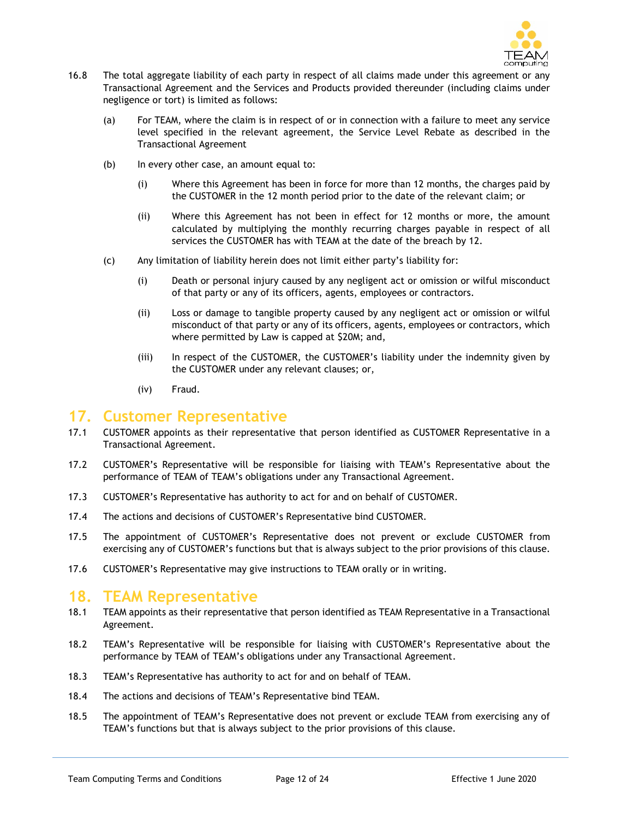

- 16.8 The total aggregate liability of each party in respect of all claims made under this agreement or any Transactional Agreement and the Services and Products provided thereunder (including claims under negligence or tort) is limited as follows:
	- (a) For TEAM, where the claim is in respect of or in connection with a failure to meet any service level specified in the relevant agreement, the Service Level Rebate as described in the Transactional Agreement
	- (b) In every other case, an amount equal to:
		- (i) Where this Agreement has been in force for more than 12 months, the charges paid by the CUSTOMER in the 12 month period prior to the date of the relevant claim; or
		- (ii) Where this Agreement has not been in effect for 12 months or more, the amount calculated by multiplying the monthly recurring charges payable in respect of all services the CUSTOMER has with TEAM at the date of the breach by 12.
	- (c) Any limitation of liability herein does not limit either party's liability for:
		- (i) Death or personal injury caused by any negligent act or omission or wilful misconduct of that party or any of its officers, agents, employees or contractors.
		- (ii) Loss or damage to tangible property caused by any negligent act or omission or wilful misconduct of that party or any of its officers, agents, employees or contractors, which where permitted by Law is capped at \$20M; and,
		- (iii) In respect of the CUSTOMER, the CUSTOMER's liability under the indemnity given by the CUSTOMER under any relevant clauses; or,
		- (iv) Fraud.

# **17. Customer Representative**

- 17.1 CUSTOMER appoints as their representative that person identified as CUSTOMER Representative in a Transactional Agreement.
- 17.2 CUSTOMER's Representative will be responsible for liaising with TEAM's Representative about the performance of TEAM of TEAM's obligations under any Transactional Agreement.
- 17.3 CUSTOMER's Representative has authority to act for and on behalf of CUSTOMER.
- 17.4 The actions and decisions of CUSTOMER's Representative bind CUSTOMER.
- 17.5 The appointment of CUSTOMER's Representative does not prevent or exclude CUSTOMER from exercising any of CUSTOMER's functions but that is always subject to the prior provisions of this clause.
- 17.6 CUSTOMER's Representative may give instructions to TEAM orally or in writing.

# **18. TEAM Representative**

- 18.1 TEAM appoints as their representative that person identified as TEAM Representative in a Transactional Agreement.
- 18.2 TEAM's Representative will be responsible for liaising with CUSTOMER's Representative about the performance by TEAM of TEAM's obligations under any Transactional Agreement.
- 18.3 TEAM's Representative has authority to act for and on behalf of TEAM.
- 18.4 The actions and decisions of TEAM's Representative bind TEAM.
- 18.5 The appointment of TEAM's Representative does not prevent or exclude TEAM from exercising any of TEAM's functions but that is always subject to the prior provisions of this clause.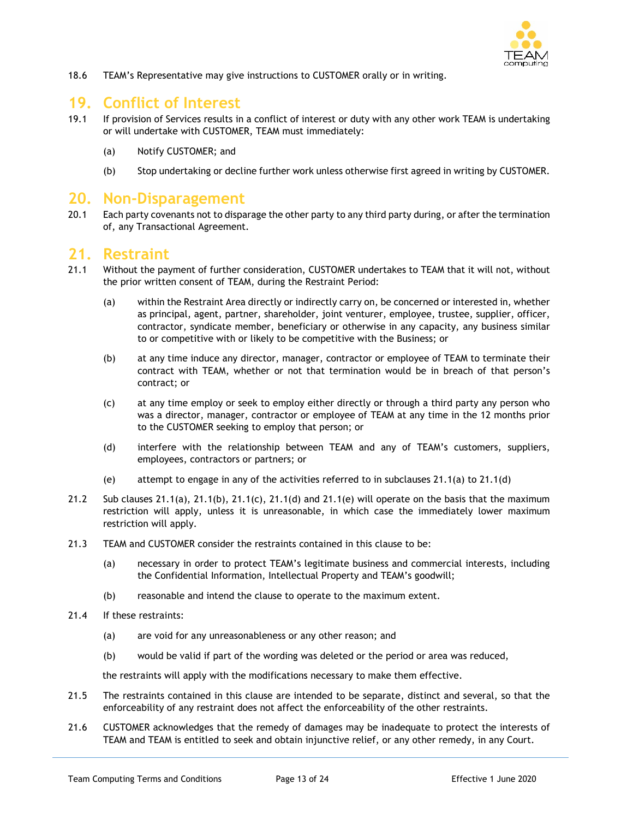

18.6 TEAM's Representative may give instructions to CUSTOMER orally or in writing.

# **19. Conflict of Interest**

- 19.1 If provision of Services results in a conflict of interest or duty with any other work TEAM is undertaking or will undertake with CUSTOMER, TEAM must immediately:
	- (a) Notify CUSTOMER; and
	- (b) Stop undertaking or decline further work unless otherwise first agreed in writing by CUSTOMER.

#### **20. Non-Disparagement**

20.1 Each party covenants not to disparage the other party to any third party during, or after the termination of, any Transactional Agreement.

#### **21. Restraint**

- 21.1 Without the payment of further consideration, CUSTOMER undertakes to TEAM that it will not, without the prior written consent of TEAM, during the Restraint Period:
	- (a) within the Restraint Area directly or indirectly carry on, be concerned or interested in, whether as principal, agent, partner, shareholder, joint venturer, employee, trustee, supplier, officer, contractor, syndicate member, beneficiary or otherwise in any capacity, any business similar to or competitive with or likely to be competitive with the Business; or
	- (b) at any time induce any director, manager, contractor or employee of TEAM to terminate their contract with TEAM, whether or not that termination would be in breach of that person's contract; or
	- (c) at any time employ or seek to employ either directly or through a third party any person who was a director, manager, contractor or employee of TEAM at any time in the 12 months prior to the CUSTOMER seeking to employ that person; or
	- (d) interfere with the relationship between TEAM and any of TEAM's customers, suppliers, employees, contractors or partners; or
	- (e) attempt to engage in any of the activities referred to in subclauses 21.1(a) to 21.1(d)
- 21.2 Sub clauses  $21.1(a)$ ,  $21.1(b)$ ,  $21.1(c)$ ,  $21.1(d)$  and  $21.1(e)$  will operate on the basis that the maximum restriction will apply, unless it is unreasonable, in which case the immediately lower maximum restriction will apply.
- 21.3 TEAM and CUSTOMER consider the restraints contained in this clause to be:
	- (a) necessary in order to protect TEAM's legitimate business and commercial interests, including the Confidential Information, Intellectual Property and TEAM's goodwill;
	- (b) reasonable and intend the clause to operate to the maximum extent.
- 21.4 If these restraints:
	- (a) are void for any unreasonableness or any other reason; and
	- (b) would be valid if part of the wording was deleted or the period or area was reduced,

the restraints will apply with the modifications necessary to make them effective.

- 21.5 The restraints contained in this clause are intended to be separate, distinct and several, so that the enforceability of any restraint does not affect the enforceability of the other restraints.
- 21.6 CUSTOMER acknowledges that the remedy of damages may be inadequate to protect the interests of TEAM and TEAM is entitled to seek and obtain injunctive relief, or any other remedy, in any Court.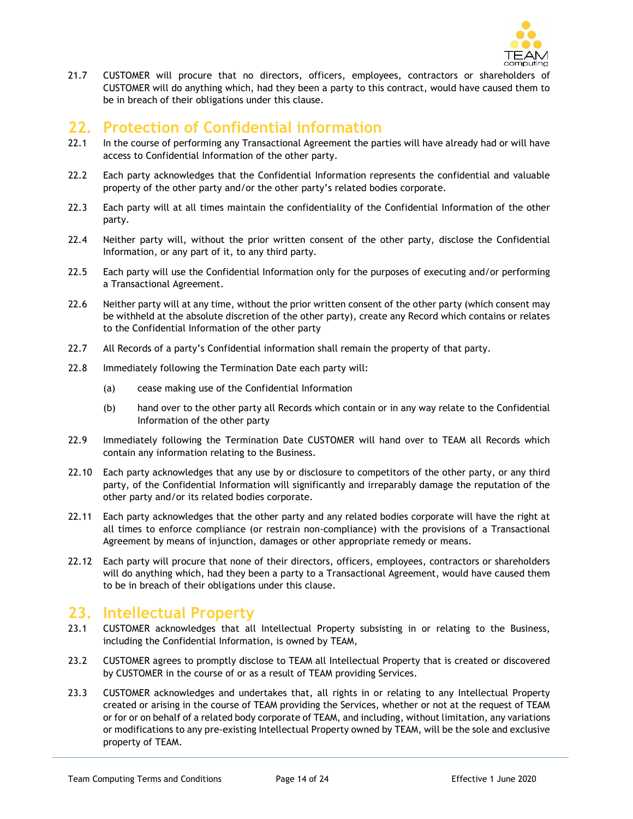

21.7 CUSTOMER will procure that no directors, officers, employees, contractors or shareholders of CUSTOMER will do anything which, had they been a party to this contract, would have caused them to be in breach of their obligations under this clause.

# **22. Protection of Confidential information**

- 22.1 In the course of performing any Transactional Agreement the parties will have already had or will have access to Confidential Information of the other party.
- 22.2 Each party acknowledges that the Confidential Information represents the confidential and valuable property of the other party and/or the other party's related bodies corporate.
- 22.3 Each party will at all times maintain the confidentiality of the Confidential Information of the other party.
- 22.4 Neither party will, without the prior written consent of the other party, disclose the Confidential Information, or any part of it, to any third party.
- 22.5 Each party will use the Confidential Information only for the purposes of executing and/or performing a Transactional Agreement.
- 22.6 Neither party will at any time, without the prior written consent of the other party (which consent may be withheld at the absolute discretion of the other party), create any Record which contains or relates to the Confidential Information of the other party
- 22.7 All Records of a party's Confidential information shall remain the property of that party.
- 22.8 Immediately following the Termination Date each party will:
	- (a) cease making use of the Confidential Information
	- (b) hand over to the other party all Records which contain or in any way relate to the Confidential Information of the other party
- 22.9 Immediately following the Termination Date CUSTOMER will hand over to TEAM all Records which contain any information relating to the Business.
- 22.10 Each party acknowledges that any use by or disclosure to competitors of the other party, or any third party, of the Confidential Information will significantly and irreparably damage the reputation of the other party and/or its related bodies corporate.
- 22.11 Each party acknowledges that the other party and any related bodies corporate will have the right at all times to enforce compliance (or restrain non-compliance) with the provisions of a Transactional Agreement by means of injunction, damages or other appropriate remedy or means.
- 22.12 Each party will procure that none of their directors, officers, employees, contractors or shareholders will do anything which, had they been a party to a Transactional Agreement, would have caused them to be in breach of their obligations under this clause.

# **23. Intellectual Property**

- 23.1 CUSTOMER acknowledges that all Intellectual Property subsisting in or relating to the Business, including the Confidential Information, is owned by TEAM,
- 23.2 CUSTOMER agrees to promptly disclose to TEAM all Intellectual Property that is created or discovered by CUSTOMER in the course of or as a result of TEAM providing Services.
- 23.3 CUSTOMER acknowledges and undertakes that, all rights in or relating to any Intellectual Property created or arising in the course of TEAM providing the Services, whether or not at the request of TEAM or for or on behalf of a related body corporate of TEAM, and including, without limitation, any variations or modifications to any pre-existing Intellectual Property owned by TEAM, will be the sole and exclusive property of TEAM.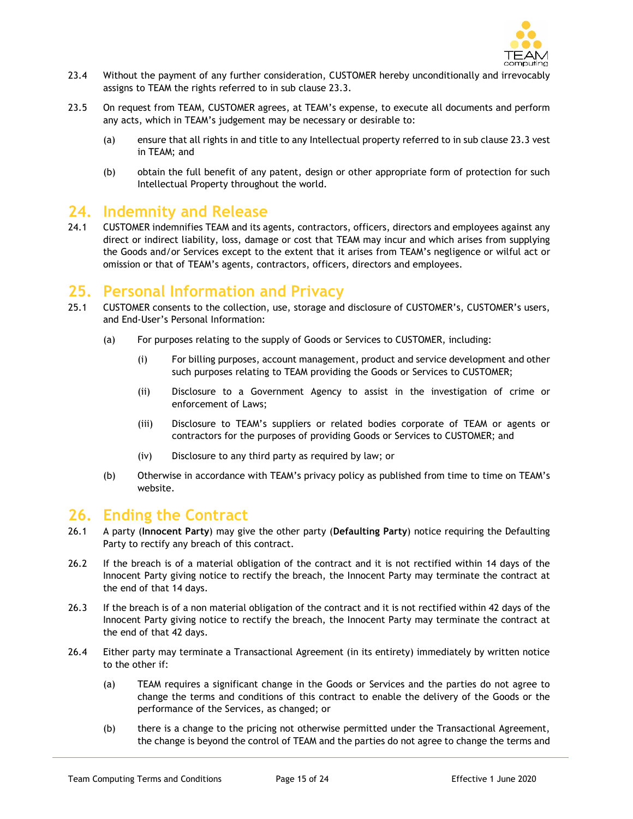

- 23.4 Without the payment of any further consideration, CUSTOMER hereby unconditionally and irrevocably assigns to TEAM the rights referred to in sub clause 23.3.
- 23.5 On request from TEAM, CUSTOMER agrees, at TEAM's expense, to execute all documents and perform any acts, which in TEAM's judgement may be necessary or desirable to:
	- (a) ensure that all rights in and title to any Intellectual property referred to in sub clause 23.3 vest in TEAM; and
	- (b) obtain the full benefit of any patent, design or other appropriate form of protection for such Intellectual Property throughout the world.

# **24. Indemnity and Release**

24.1 CUSTOMER indemnifies TEAM and its agents, contractors, officers, directors and employees against any direct or indirect liability, loss, damage or cost that TEAM may incur and which arises from supplying the Goods and/or Services except to the extent that it arises from TEAM's negligence or wilful act or omission or that of TEAM's agents, contractors, officers, directors and employees.

# **25. Personal Information and Privacy**

- 25.1 CUSTOMER consents to the collection, use, storage and disclosure of CUSTOMER's, CUSTOMER's users, and End-User's Personal Information:
	- (a) For purposes relating to the supply of Goods or Services to CUSTOMER, including:
		- (i) For billing purposes, account management, product and service development and other such purposes relating to TEAM providing the Goods or Services to CUSTOMER;
		- (ii) Disclosure to a Government Agency to assist in the investigation of crime or enforcement of Laws;
		- (iii) Disclosure to TEAM's suppliers or related bodies corporate of TEAM or agents or contractors for the purposes of providing Goods or Services to CUSTOMER; and
		- (iv) Disclosure to any third party as required by law; or
	- (b) Otherwise in accordance with TEAM's privacy policy as published from time to time on TEAM's website.

# **26. Ending the Contract**

- 26.1 A party (**Innocent Party**) may give the other party (**Defaulting Party**) notice requiring the Defaulting Party to rectify any breach of this contract.
- 26.2 If the breach is of a material obligation of the contract and it is not rectified within 14 days of the Innocent Party giving notice to rectify the breach, the Innocent Party may terminate the contract at the end of that 14 days.
- 26.3 If the breach is of a non material obligation of the contract and it is not rectified within 42 days of the Innocent Party giving notice to rectify the breach, the Innocent Party may terminate the contract at the end of that 42 days.
- 26.4 Either party may terminate a Transactional Agreement (in its entirety) immediately by written notice to the other if:
	- (a) TEAM requires a significant change in the Goods or Services and the parties do not agree to change the terms and conditions of this contract to enable the delivery of the Goods or the performance of the Services, as changed; or
	- (b) there is a change to the pricing not otherwise permitted under the Transactional Agreement, the change is beyond the control of TEAM and the parties do not agree to change the terms and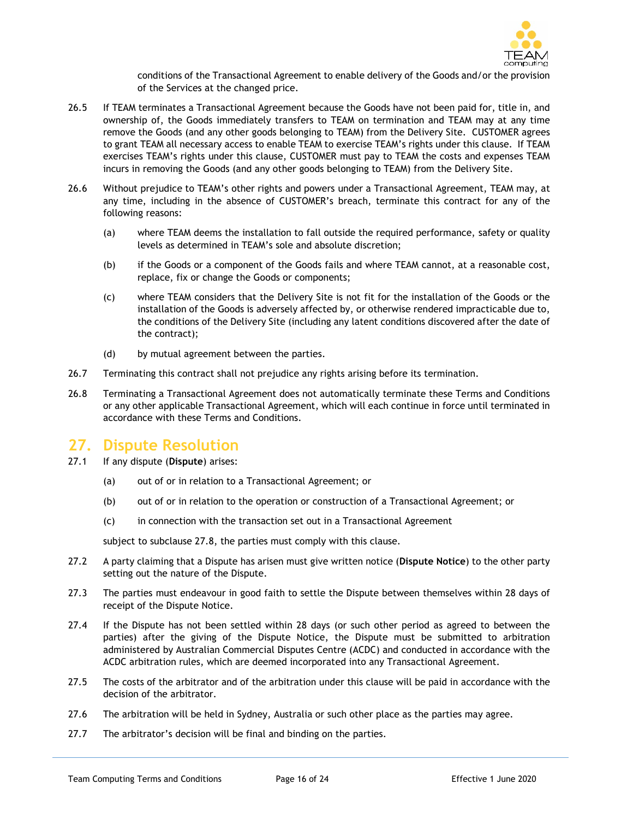

conditions of the Transactional Agreement to enable delivery of the Goods and/or the provision of the Services at the changed price.

- 26.5 If TEAM terminates a Transactional Agreement because the Goods have not been paid for, title in, and ownership of, the Goods immediately transfers to TEAM on termination and TEAM may at any time remove the Goods (and any other goods belonging to TEAM) from the Delivery Site. CUSTOMER agrees to grant TEAM all necessary access to enable TEAM to exercise TEAM's rights under this clause. If TEAM exercises TEAM's rights under this clause, CUSTOMER must pay to TEAM the costs and expenses TEAM incurs in removing the Goods (and any other goods belonging to TEAM) from the Delivery Site.
- 26.6 Without prejudice to TEAM's other rights and powers under a Transactional Agreement, TEAM may, at any time, including in the absence of CUSTOMER's breach, terminate this contract for any of the following reasons:
	- (a) where TEAM deems the installation to fall outside the required performance, safety or quality levels as determined in TEAM's sole and absolute discretion;
	- (b) if the Goods or a component of the Goods fails and where TEAM cannot, at a reasonable cost, replace, fix or change the Goods or components;
	- (c) where TEAM considers that the Delivery Site is not fit for the installation of the Goods or the installation of the Goods is adversely affected by, or otherwise rendered impracticable due to, the conditions of the Delivery Site (including any latent conditions discovered after the date of the contract);
	- (d) by mutual agreement between the parties.
- 26.7 Terminating this contract shall not prejudice any rights arising before its termination.
- 26.8 Terminating a Transactional Agreement does not automatically terminate these Terms and Conditions or any other applicable Transactional Agreement, which will each continue in force until terminated in accordance with these Terms and Conditions.

# **27. Dispute Resolution**

- 27.1 If any dispute (**Dispute**) arises:
	- (a) out of or in relation to a Transactional Agreement; or
	- (b) out of or in relation to the operation or construction of a Transactional Agreement; or
	- (c) in connection with the transaction set out in a Transactional Agreement

subject to subclause 27.8, the parties must comply with this clause.

- 27.2 A party claiming that a Dispute has arisen must give written notice (**Dispute Notice**) to the other party setting out the nature of the Dispute.
- 27.3 The parties must endeavour in good faith to settle the Dispute between themselves within 28 days of receipt of the Dispute Notice.
- 27.4 If the Dispute has not been settled within 28 days (or such other period as agreed to between the parties) after the giving of the Dispute Notice, the Dispute must be submitted to arbitration administered by Australian Commercial Disputes Centre (ACDC) and conducted in accordance with the ACDC arbitration rules, which are deemed incorporated into any Transactional Agreement.
- 27.5 The costs of the arbitrator and of the arbitration under this clause will be paid in accordance with the decision of the arbitrator.
- 27.6 The arbitration will be held in Sydney, Australia or such other place as the parties may agree.
- 27.7 The arbitrator's decision will be final and binding on the parties.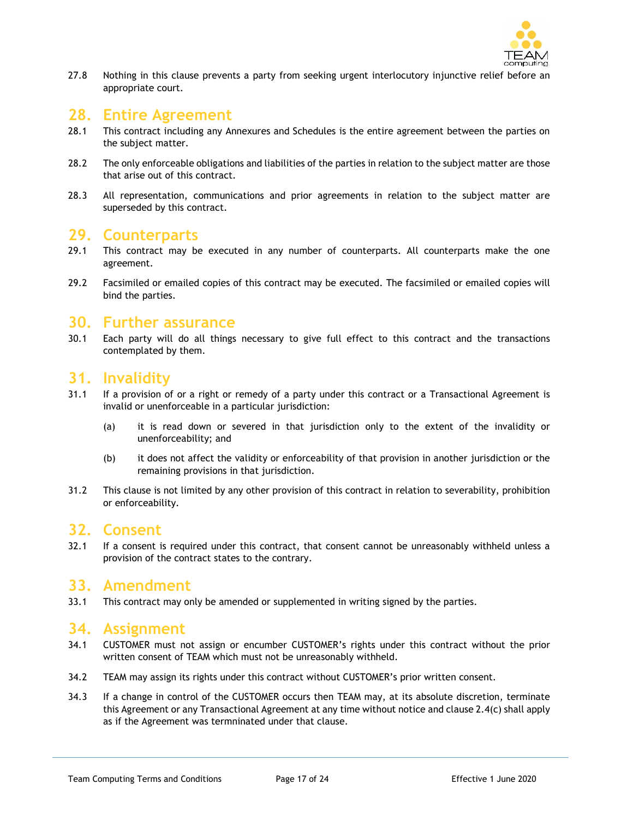

27.8 Nothing in this clause prevents a party from seeking urgent interlocutory injunctive relief before an appropriate court.

# **28. Entire Agreement**

- 28.1 This contract including any Annexures and Schedules is the entire agreement between the parties on the subject matter.
- 28.2 The only enforceable obligations and liabilities of the parties in relation to the subject matter are those that arise out of this contract.
- 28.3 All representation, communications and prior agreements in relation to the subject matter are superseded by this contract.

# **29. Counterparts**

- 29.1 This contract may be executed in any number of counterparts. All counterparts make the one agreement.
- 29.2 Facsimiled or emailed copies of this contract may be executed. The facsimiled or emailed copies will bind the parties.

#### **30. Further assurance**

30.1 Each party will do all things necessary to give full effect to this contract and the transactions contemplated by them.

#### **31. Invalidity**

- 31.1 If a provision of or a right or remedy of a party under this contract or a Transactional Agreement is invalid or unenforceable in a particular jurisdiction:
	- (a) it is read down or severed in that jurisdiction only to the extent of the invalidity or unenforceability; and
	- (b) it does not affect the validity or enforceability of that provision in another jurisdiction or the remaining provisions in that jurisdiction.
- 31.2 This clause is not limited by any other provision of this contract in relation to severability, prohibition or enforceability.

# **32. Consent**

32.1 If a consent is required under this contract, that consent cannot be unreasonably withheld unless a provision of the contract states to the contrary.

# **33. Amendment**

33.1 This contract may only be amended or supplemented in writing signed by the parties.

#### **34. Assignment**

- 34.1 CUSTOMER must not assign or encumber CUSTOMER's rights under this contract without the prior written consent of TEAM which must not be unreasonably withheld.
- 34.2 TEAM may assign its rights under this contract without CUSTOMER's prior written consent.
- 34.3 If a change in control of the CUSTOMER occurs then TEAM may, at its absolute discretion, terminate this Agreement or any Transactional Agreement at any time without notice and clause 2.4(c) shall apply as if the Agreement was termninated under that clause.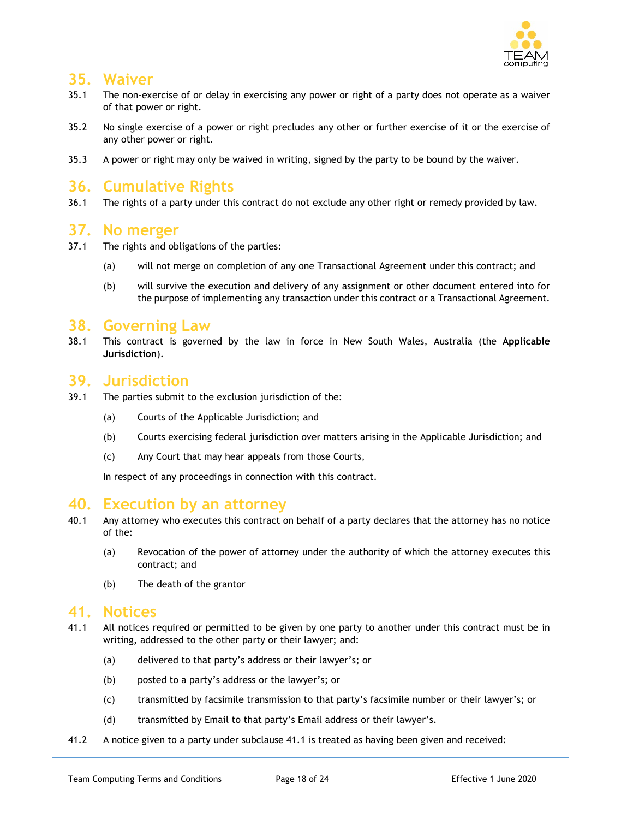

# **35. Waiver**

- 35.1 The non-exercise of or delay in exercising any power or right of a party does not operate as a waiver of that power or right.
- 35.2 No single exercise of a power or right precludes any other or further exercise of it or the exercise of any other power or right.
- 35.3 A power or right may only be waived in writing, signed by the party to be bound by the waiver.

# **36. Cumulative Rights**

36.1 The rights of a party under this contract do not exclude any other right or remedy provided by law.

#### **37. No merger**

- 37.1 The rights and obligations of the parties:
	- (a) will not merge on completion of any one Transactional Agreement under this contract; and
	- (b) will survive the execution and delivery of any assignment or other document entered into for the purpose of implementing any transaction under this contract or a Transactional Agreement.

#### **38. Governing Law**

38.1 This contract is governed by the law in force in New South Wales, Australia (the **Applicable Jurisdiction**).

# **39. Jurisdiction**

- 39.1 The parties submit to the exclusion jurisdiction of the:
	- (a) Courts of the Applicable Jurisdiction; and
	- (b) Courts exercising federal jurisdiction over matters arising in the Applicable Jurisdiction; and
	- (c) Any Court that may hear appeals from those Courts,

In respect of any proceedings in connection with this contract.

# **40. Execution by an attorney**

- 40.1 Any attorney who executes this contract on behalf of a party declares that the attorney has no notice of the:
	- (a) Revocation of the power of attorney under the authority of which the attorney executes this contract; and
	- (b) The death of the grantor

#### **41. Notices**

- 41.1 All notices required or permitted to be given by one party to another under this contract must be in writing, addressed to the other party or their lawyer; and:
	- (a) delivered to that party's address or their lawyer's; or
	- (b) posted to a party's address or the lawyer's; or
	- (c) transmitted by facsimile transmission to that party's facsimile number or their lawyer's; or
	- (d) transmitted by Email to that party's Email address or their lawyer's.
- 41.2 A notice given to a party under subclause 41.1 is treated as having been given and received: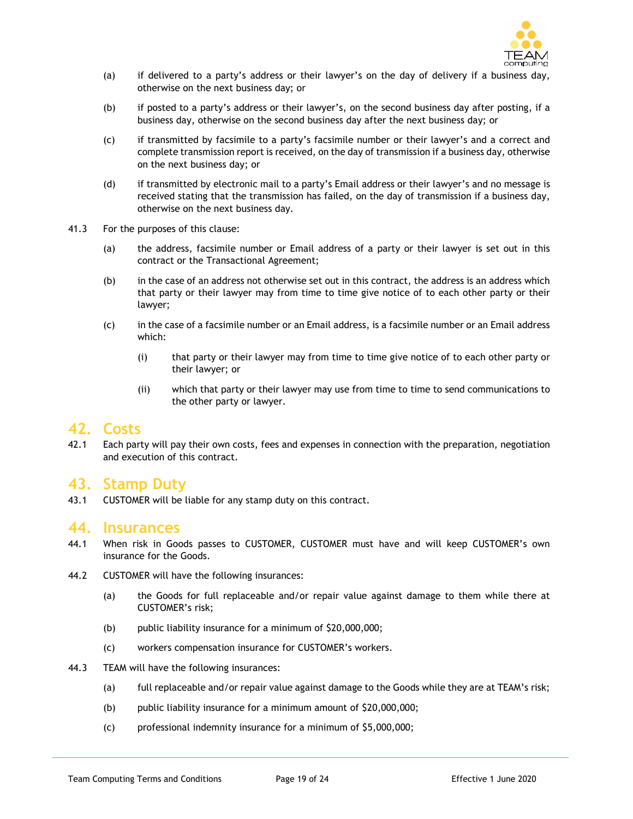

- (a) if delivered to a party's address or their lawyer's on the day of delivery if a business day, otherwise on the next business day; or
- (b) if posted to a party's address or their lawyer's, on the second business day after posting, if a business day, otherwise on the second business day after the next business day; or
- (c) if transmitted by facsimile to a party's facsimile number or their lawyer's and a correct and complete transmission report is received, on the day of transmission if a business day, otherwise on the next business day; or
- (d) if transmitted by electronic mail to a party's Email address or their lawyer's and no message is received stating that the transmission has failed, on the day of transmission if a business day, otherwise on the next business day.
- 41.3 For the purposes of this clause:
	- (a) the address, facsimile number or Email address of a party or their lawyer is set out in this contract or the Transactional Agreement;
	- (b) in the case of an address not otherwise set out in this contract, the address is an address which that party or their lawyer may from time to time give notice of to each other party or their lawyer;
	- (c) in the case of a facsimile number or an Email address, is a facsimile number or an Email address which:
		- (i) that party or their lawyer may from time to time give notice of to each other party or their lawyer; or
		- (ii) which that party or their lawyer may use from time to time to send communications to the other party or lawyer.

#### **42. Costs**

42.1 Each party will pay their own costs, fees and expenses in connection with the preparation, negotiation and execution of this contract.

# **43. Stamp Duty**

43.1 CUSTOMER will be liable for any stamp duty on this contract.

#### **44. Insurances**

- 44.1 When risk in Goods passes to CUSTOMER, CUSTOMER must have and will keep CUSTOMER's own insurance for the Goods.
- 44.2 CUSTOMER will have the following insurances:
	- (a) the Goods for full replaceable and/or repair value against damage to them while there at CUSTOMER's risk;
	- (b) public liability insurance for a minimum of \$20,000,000;
	- (c) workers compensation insurance for CUSTOMER's workers.
- 44.3 TEAM will have the following insurances:
	- (a) full replaceable and/or repair value against damage to the Goods while they are at TEAM's risk;
	- (b) public liability insurance for a minimum amount of \$20,000,000;
	- (c) professional indemnity insurance for a minimum of \$5,000,000;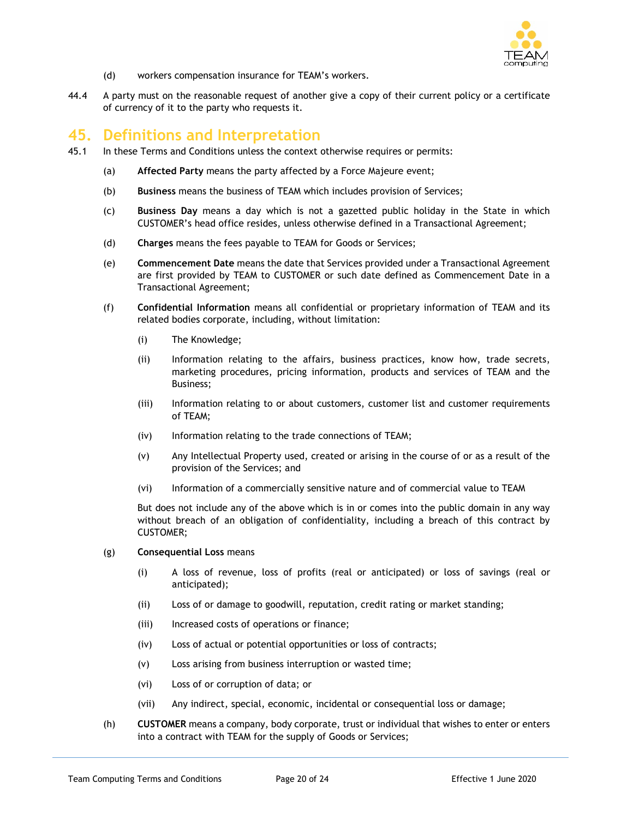

- (d) workers compensation insurance for TEAM's workers.
- 44.4 A party must on the reasonable request of another give a copy of their current policy or a certificate of currency of it to the party who requests it.

# **45. Definitions and Interpretation**

- 45.1 In these Terms and Conditions unless the context otherwise requires or permits:
	- (a) **Affected Party** means the party affected by a Force Majeure event;
	- (b) **Business** means the business of TEAM which includes provision of Services;
	- (c) **Business Day** means a day which is not a gazetted public holiday in the State in which CUSTOMER's head office resides, unless otherwise defined in a Transactional Agreement;
	- (d) **Charges** means the fees payable to TEAM for Goods or Services;
	- (e) **Commencement Date** means the date that Services provided under a Transactional Agreement are first provided by TEAM to CUSTOMER or such date defined as Commencement Date in a Transactional Agreement;
	- (f) **Confidential Information** means all confidential or proprietary information of TEAM and its related bodies corporate, including, without limitation:
		- (i) The Knowledge;
		- (ii) Information relating to the affairs, business practices, know how, trade secrets, marketing procedures, pricing information, products and services of TEAM and the Business;
		- (iii) Information relating to or about customers, customer list and customer requirements of TEAM;
		- (iv) Information relating to the trade connections of TEAM;
		- (v) Any Intellectual Property used, created or arising in the course of or as a result of the provision of the Services; and
		- (vi) Information of a commercially sensitive nature and of commercial value to TEAM

But does not include any of the above which is in or comes into the public domain in any way without breach of an obligation of confidentiality, including a breach of this contract by CUSTOMER;

- (g) **Consequential Loss** means
	- (i) A loss of revenue, loss of profits (real or anticipated) or loss of savings (real or anticipated);
	- (ii) Loss of or damage to goodwill, reputation, credit rating or market standing;
	- (iii) Increased costs of operations or finance;
	- (iv) Loss of actual or potential opportunities or loss of contracts;
	- (v) Loss arising from business interruption or wasted time;
	- (vi) Loss of or corruption of data; or
	- (vii) Any indirect, special, economic, incidental or consequential loss or damage;
- (h) **CUSTOMER** means a company, body corporate, trust or individual that wishes to enter or enters into a contract with TEAM for the supply of Goods or Services;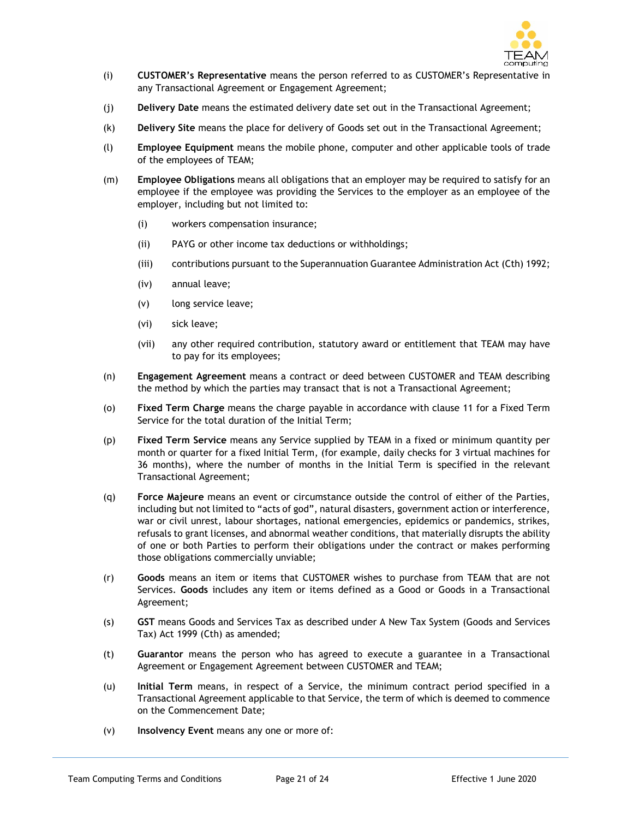

- (i) **CUSTOMER's Representative** means the person referred to as CUSTOMER's Representative in any Transactional Agreement or Engagement Agreement;
- (j) **Delivery Date** means the estimated delivery date set out in the Transactional Agreement;
- (k) **Delivery Site** means the place for delivery of Goods set out in the Transactional Agreement;
- (l) **Employee Equipment** means the mobile phone, computer and other applicable tools of trade of the employees of TEAM;
- (m) **Employee Obligations** means all obligations that an employer may be required to satisfy for an employee if the employee was providing the Services to the employer as an employee of the employer, including but not limited to:
	- (i) workers compensation insurance;
	- (ii) PAYG or other income tax deductions or withholdings;
	- (iii) contributions pursuant to the Superannuation Guarantee Administration Act (Cth) 1992;
	- (iv) annual leave;
	- (v) long service leave;
	- (vi) sick leave;
	- (vii) any other required contribution, statutory award or entitlement that TEAM may have to pay for its employees;
- (n) **Engagement Agreement** means a contract or deed between CUSTOMER and TEAM describing the method by which the parties may transact that is not a Transactional Agreement;
- (o) **Fixed Term Charge** means the charge payable in accordance with clause 11 for a Fixed Term Service for the total duration of the Initial Term;
- (p) **Fixed Term Service** means any Service supplied by TEAM in a fixed or minimum quantity per month or quarter for a fixed Initial Term, (for example, daily checks for 3 virtual machines for 36 months), where the number of months in the Initial Term is specified in the relevant Transactional Agreement;
- (q) **Force Majeure** means an event or circumstance outside the control of either of the Parties, including but not limited to "acts of god", natural disasters, government action or interference, war or civil unrest, labour shortages, national emergencies, epidemics or pandemics, strikes, refusals to grant licenses, and abnormal weather conditions, that materially disrupts the ability of one or both Parties to perform their obligations under the contract or makes performing those obligations commercially unviable;
- (r) **Goods** means an item or items that CUSTOMER wishes to purchase from TEAM that are not Services. **Goods** includes any item or items defined as a Good or Goods in a Transactional Agreement;
- (s) **GST** means Goods and Services Tax as described under A New Tax System (Goods and Services Tax) Act 1999 (Cth) as amended;
- (t) **Guarantor** means the person who has agreed to execute a guarantee in a Transactional Agreement or Engagement Agreement between CUSTOMER and TEAM;
- (u) **Initial Term** means, in respect of a Service, the minimum contract period specified in a Transactional Agreement applicable to that Service, the term of which is deemed to commence on the Commencement Date;
- (v) **Insolvency Event** means any one or more of: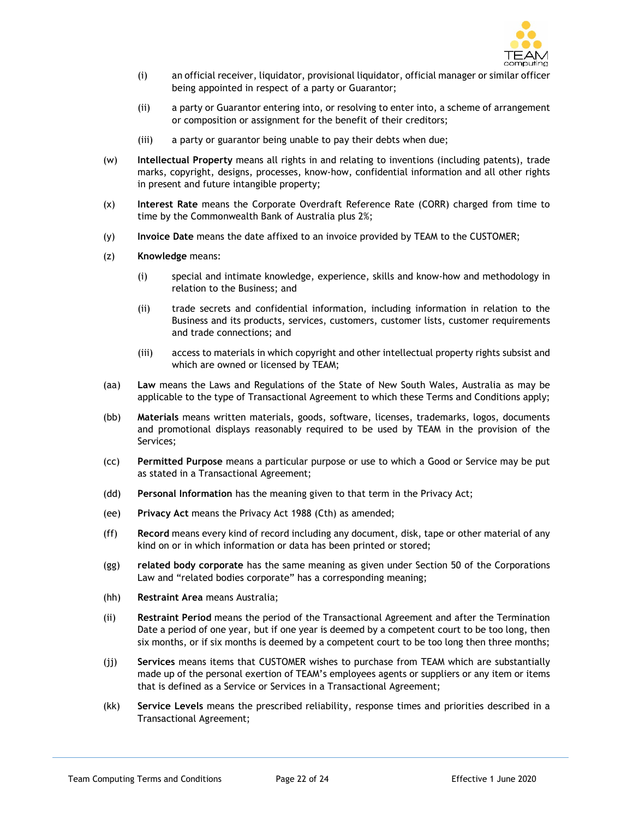

- (i) an official receiver, liquidator, provisional liquidator, official manager or similar officer being appointed in respect of a party or Guarantor;
- (ii) a party or Guarantor entering into, or resolving to enter into, a scheme of arrangement or composition or assignment for the benefit of their creditors;
- (iii) a party or guarantor being unable to pay their debts when due;
- (w) **Intellectual Property** means all rights in and relating to inventions (including patents), trade marks, copyright, designs, processes, know-how, confidential information and all other rights in present and future intangible property;
- (x) **Interest Rate** means the Corporate Overdraft Reference Rate (CORR) charged from time to time by the Commonwealth Bank of Australia plus 2%;
- (y) **Invoice Date** means the date affixed to an invoice provided by TEAM to the CUSTOMER;
- (z) **Knowledge** means:
	- (i) special and intimate knowledge, experience, skills and know-how and methodology in relation to the Business; and
	- (ii) trade secrets and confidential information, including information in relation to the Business and its products, services, customers, customer lists, customer requirements and trade connections; and
	- (iii) access to materials in which copyright and other intellectual property rights subsist and which are owned or licensed by TEAM;
- (aa) **Law** means the Laws and Regulations of the State of New South Wales, Australia as may be applicable to the type of Transactional Agreement to which these Terms and Conditions apply;
- (bb) **Materials** means written materials, goods, software, licenses, trademarks, logos, documents and promotional displays reasonably required to be used by TEAM in the provision of the Services;
- (cc) **Permitted Purpose** means a particular purpose or use to which a Good or Service may be put as stated in a Transactional Agreement;
- (dd) **Personal Information** has the meaning given to that term in the Privacy Act;
- (ee) **Privacy Act** means the Privacy Act 1988 (Cth) as amended;
- (ff) **Record** means every kind of record including any document, disk, tape or other material of any kind on or in which information or data has been printed or stored;
- (gg) **related body corporate** has the same meaning as given under Section 50 of the Corporations Law and "related bodies corporate" has a corresponding meaning;
- (hh) **Restraint Area** means Australia;
- (ii) **Restraint Period** means the period of the Transactional Agreement and after the Termination Date a period of one year, but if one year is deemed by a competent court to be too long, then six months, or if six months is deemed by a competent court to be too long then three months;
- (jj) **Services** means items that CUSTOMER wishes to purchase from TEAM which are substantially made up of the personal exertion of TEAM's employees agents or suppliers or any item or items that is defined as a Service or Services in a Transactional Agreement;
- (kk) **Service Levels** means the prescribed reliability, response times and priorities described in a Transactional Agreement;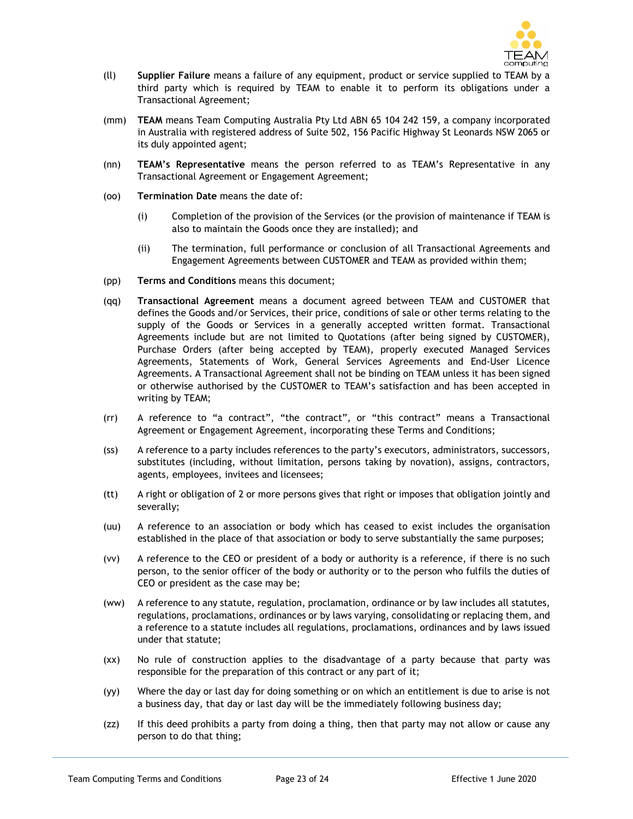

- (ll) **Supplier Failure** means a failure of any equipment, product or service supplied to TEAM by a third party which is required by TEAM to enable it to perform its obligations under a Transactional Agreement;
- (mm) **TEAM** means Team Computing Australia Pty Ltd ABN 65 104 242 159, a company incorporated in Australia with registered address of Suite 502, 156 Pacific Highway St Leonards NSW 2065 or its duly appointed agent;
- (nn) **TEAM's Representative** means the person referred to as TEAM's Representative in any Transactional Agreement or Engagement Agreement;
- (oo) **Termination Date** means the date of:
	- (i) Completion of the provision of the Services (or the provision of maintenance if TEAM is also to maintain the Goods once they are installed); and
	- (ii) The termination, full performance or conclusion of all Transactional Agreements and Engagement Agreements between CUSTOMER and TEAM as provided within them;
- (pp) **Terms and Conditions** means this document;
- (qq) **Transactional Agreement** means a document agreed between TEAM and CUSTOMER that defines the Goods and/or Services, their price, conditions of sale or other terms relating to the supply of the Goods or Services in a generally accepted written format. Transactional Agreements include but are not limited to Quotations (after being signed by CUSTOMER), Purchase Orders (after being accepted by TEAM), properly executed Managed Services Agreements, Statements of Work, General Services Agreements and End-User Licence Agreements. A Transactional Agreement shall not be binding on TEAM unless it has been signed or otherwise authorised by the CUSTOMER to TEAM's satisfaction and has been accepted in writing by TEAM;
- (rr) A reference to "a contract", "the contract", or "this contract" means a Transactional Agreement or Engagement Agreement, incorporating these Terms and Conditions;
- (ss) A reference to a party includes references to the party's executors, administrators, successors, substitutes (including, without limitation, persons taking by novation), assigns, contractors, agents, employees, invitees and licensees;
- (tt) A right or obligation of 2 or more persons gives that right or imposes that obligation jointly and severally;
- (uu) A reference to an association or body which has ceased to exist includes the organisation established in the place of that association or body to serve substantially the same purposes;
- (vv) A reference to the CEO or president of a body or authority is a reference, if there is no such person, to the senior officer of the body or authority or to the person who fulfils the duties of CEO or president as the case may be;
- (ww) A reference to any statute, regulation, proclamation, ordinance or by law includes all statutes, regulations, proclamations, ordinances or by laws varying, consolidating or replacing them, and a reference to a statute includes all regulations, proclamations, ordinances and by laws issued under that statute;
- (xx) No rule of construction applies to the disadvantage of a party because that party was responsible for the preparation of this contract or any part of it;
- (yy) Where the day or last day for doing something or on which an entitlement is due to arise is not a business day, that day or last day will be the immediately following business day;
- (zz) If this deed prohibits a party from doing a thing, then that party may not allow or cause any person to do that thing;